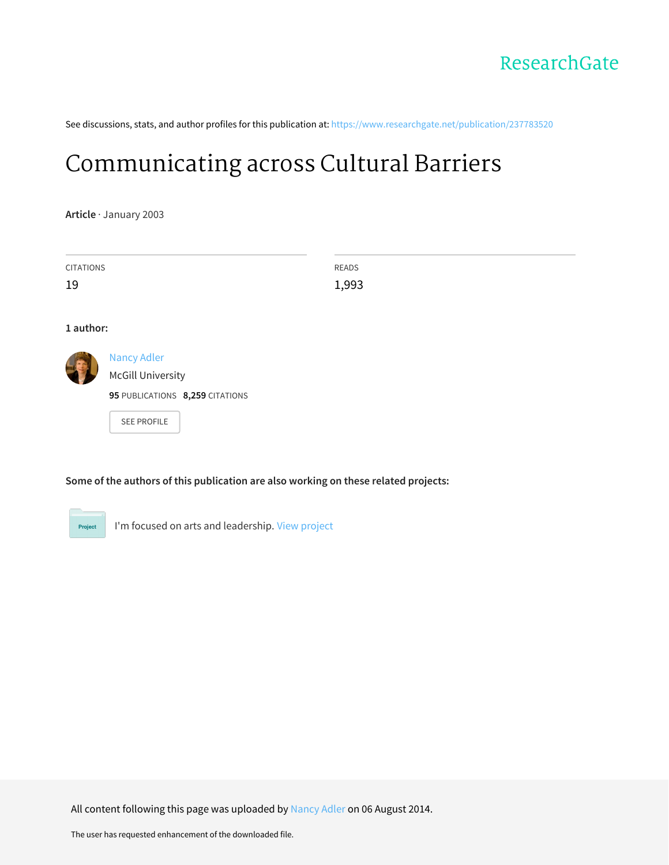See discussions, stats, and author profiles for this publication at: [https://www.researchgate.net/publication/237783520](https://www.researchgate.net/publication/237783520_Communicating_across_Cultural_Barriers?enrichId=rgreq-ff92d6eae4596b52d86212097c7946aa-XXX&enrichSource=Y292ZXJQYWdlOzIzNzc4MzUyMDtBUzoxMjcxNTE3MzkyNDg2NDJAMTQwNzMyNjc0NTcxNQ%3D%3D&el=1_x_2&_esc=publicationCoverPdf)

# [Communicating](https://www.researchgate.net/publication/237783520_Communicating_across_Cultural_Barriers?enrichId=rgreq-ff92d6eae4596b52d86212097c7946aa-XXX&enrichSource=Y292ZXJQYWdlOzIzNzc4MzUyMDtBUzoxMjcxNTE3MzkyNDg2NDJAMTQwNzMyNjc0NTcxNQ%3D%3D&el=1_x_3&_esc=publicationCoverPdf) across Cultural Barriers

**Article** · January 2003

| <b>CITATIONS</b> |                                 | <b>READS</b> |  |  |  |  |
|------------------|---------------------------------|--------------|--|--|--|--|
| 19               |                                 | 1,993        |  |  |  |  |
|                  |                                 |              |  |  |  |  |
| 1 author:        |                                 |              |  |  |  |  |
|                  | <b>Nancy Adler</b>              |              |  |  |  |  |
|                  | <b>McGill University</b>        |              |  |  |  |  |
|                  | 95 PUBLICATIONS 8,259 CITATIONS |              |  |  |  |  |
|                  | <b>SEE PROFILE</b>              |              |  |  |  |  |

**Some of the authors of this publication are also working on these related projects:**

Project

I'm focused on arts and leadership. View [project](https://www.researchgate.net/project/Im-focused-on-arts-and-leadership?enrichId=rgreq-ff92d6eae4596b52d86212097c7946aa-XXX&enrichSource=Y292ZXJQYWdlOzIzNzc4MzUyMDtBUzoxMjcxNTE3MzkyNDg2NDJAMTQwNzMyNjc0NTcxNQ%3D%3D&el=1_x_9&_esc=publicationCoverPdf)

All content following this page was uploaded by [Nancy](https://www.researchgate.net/profile/Nancy_Adler4?enrichId=rgreq-ff92d6eae4596b52d86212097c7946aa-XXX&enrichSource=Y292ZXJQYWdlOzIzNzc4MzUyMDtBUzoxMjcxNTE3MzkyNDg2NDJAMTQwNzMyNjc0NTcxNQ%3D%3D&el=1_x_10&_esc=publicationCoverPdf) Adler on 06 August 2014.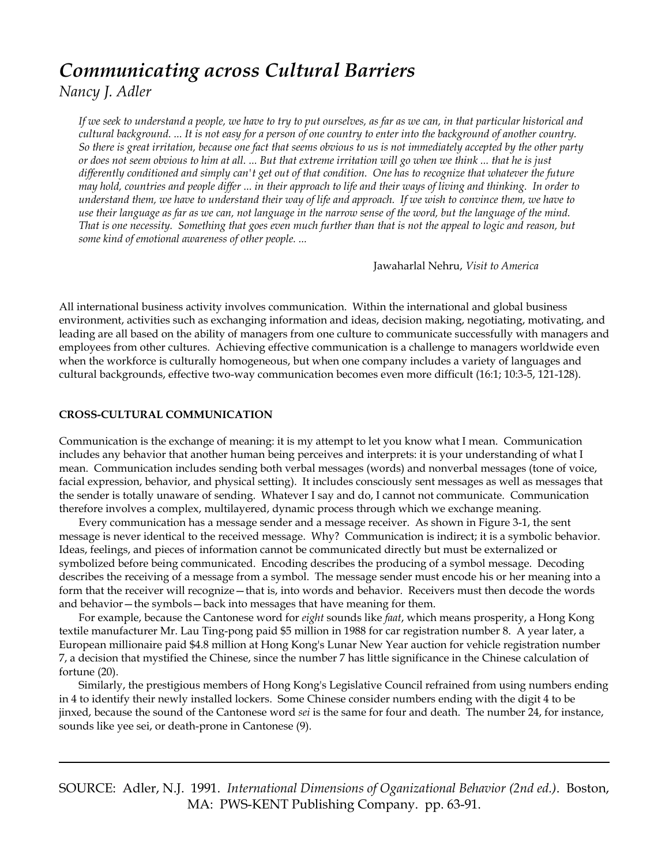# *Communicating across Cultural Barriers*

*Nancy J. Adler* 

*If we seek to understand a people, we have to try to put ourselves, as far as we can, in that particular historical and cultural background. ... It is not easy for a person of one country to enter into the background of another country. So there is great irritation, because one fact that seems obvious to us is not immediately accepted by the other party or does not seem obvious to him at all. ... But that extreme irritation will go when we think ... that he is just differently conditioned and simply can't get out of that condition. One has to recognize that whatever the future may hold, countries and people differ ... in their approach to life and their ways of living and thinking. In order to understand them, we have to understand their way of life and approach. If we wish to convince them, we have to use their language as far as we can, not language in the narrow sense of the word, but the language of the mind. That is one necessity. Something that goes even much further than that is not the appeal to logic and reason, but some kind of emotional awareness of other people. ...* 

Jawaharlal Nehru, *Visit to America*

All international business activity involves communication. Within the international and global business environment, activities such as exchanging information and ideas, decision making, negotiating, motivating, and leading are all based on the ability of managers from one culture to communicate successfully with managers and employees from other cultures. Achieving effective communication is a challenge to managers worldwide even when the workforce is culturally homogeneous, but when one company includes a variety of languages and cultural backgrounds, effective two-way communication becomes even more difficult (16:1; 10:3-5, 121-128).

#### **CROSS-CULTURAL COMMUNICATION**

Communication is the exchange of meaning: it is my attempt to let you know what I mean. Communication includes any behavior that another human being perceives and interprets: it is your understanding of what I mean. Communication includes sending both verbal messages (words) and nonverbal messages (tone of voice, facial expression, behavior, and physical setting). It includes consciously sent messages as well as messages that the sender is totally unaware of sending. Whatever I say and do, I cannot not communicate. Communication therefore involves a complex, multilayered, dynamic process through which we exchange meaning.

Every communication has a message sender and a message receiver. As shown in Figure 3-1, the sent message is never identical to the received message. Why? Communication is indirect; it is a symbolic behavior. Ideas, feelings, and pieces of information cannot be communicated directly but must be externalized or symbolized before being communicated. Encoding describes the producing of a symbol message. Decoding describes the receiving of a message from a symbol. The message sender must encode his or her meaning into a form that the receiver will recognize – that is, into words and behavior. Receivers must then decode the words and behavior—the symbols—back into messages that have meaning for them.

For example, because the Cantonese word for *eight* sounds like *faat*, which means prosperity, a Hong Kong textile manufacturer Mr. Lau Ting-pong paid \$5 million in 1988 for car registration number 8. A year later, a European millionaire paid \$4.8 million at Hong Kong's Lunar New Year auction for vehicle registration number 7, a decision that mystified the Chinese, since the number 7 has little significance in the Chinese calculation of fortune (20).

Similarly, the prestigious members of Hong Kong's Legislative Council refrained from using numbers ending in 4 to identify their newly installed lockers. Some Chinese consider numbers ending with the digit 4 to be jinxed, because the sound of the Cantonese word *sei* is the same for four and death. The number 24, for instance, sounds like yee sei, or death-prone in Cantonese (9).

SOURCE: Adler, N.J. 1991. *International Dimensions of Oganizational Behavior (2nd ed.)*. Boston, MA: PWS-KENT Publishing Company. pp. 63-91.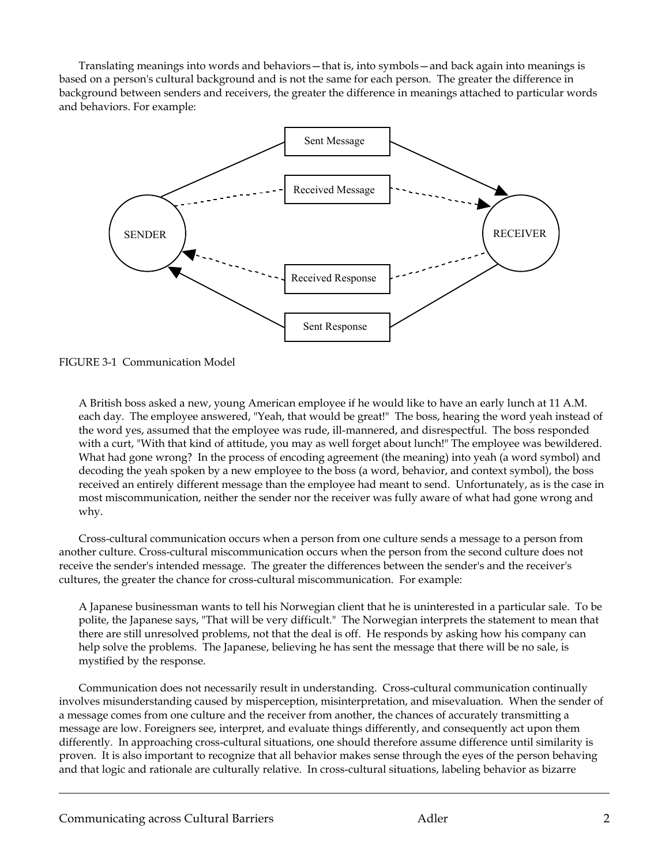Translating meanings into words and behaviors—that is, into symbols—and back again into meanings is based on a person's cultural background and is not the same for each person. The greater the difference in background between senders and receivers, the greater the difference in meanings attached to particular words and behaviors. For example:



FIGURE 3-1 Communication Model

A British boss asked a new, young American employee if he would like to have an early lunch at 11 A.M. each day. The employee answered, "Yeah, that would be great!" The boss, hearing the word yeah instead of the word yes, assumed that the employee was rude, ill-mannered, and disrespectful. The boss responded with a curt, "With that kind of attitude, you may as well forget about lunch!" The employee was bewildered. What had gone wrong? In the process of encoding agreement (the meaning) into yeah (a word symbol) and decoding the yeah spoken by a new employee to the boss (a word, behavior, and context symbol), the boss received an entirely different message than the employee had meant to send. Unfortunately, as is the case in most miscommunication, neither the sender nor the receiver was fully aware of what had gone wrong and why.

Cross-cultural communication occurs when a person from one culture sends a message to a person from another culture. Cross-cultural miscommunication occurs when the person from the second culture does not receive the sender's intended message. The greater the differences between the sender's and the receiver's cultures, the greater the chance for cross-cultural miscommunication. For example:

A Japanese businessman wants to tell his Norwegian client that he is uninterested in a particular sale. To be polite, the Japanese says, "That will be very difficult." The Norwegian interprets the statement to mean that there are still unresolved problems, not that the deal is off. He responds by asking how his company can help solve the problems. The Japanese, believing he has sent the message that there will be no sale, is mystified by the response.

Communication does not necessarily result in understanding. Cross-cultural communication continually involves misunderstanding caused by misperception, misinterpretation, and misevaluation. When the sender of a message comes from one culture and the receiver from another, the chances of accurately transmitting a message are low. Foreigners see, interpret, and evaluate things differently, and consequently act upon them differently. In approaching cross-cultural situations, one should therefore assume difference until similarity is proven. It is also important to recognize that all behavior makes sense through the eyes of the person behaving and that logic and rationale are culturally relative. In cross-cultural situations, labeling behavior as bizarre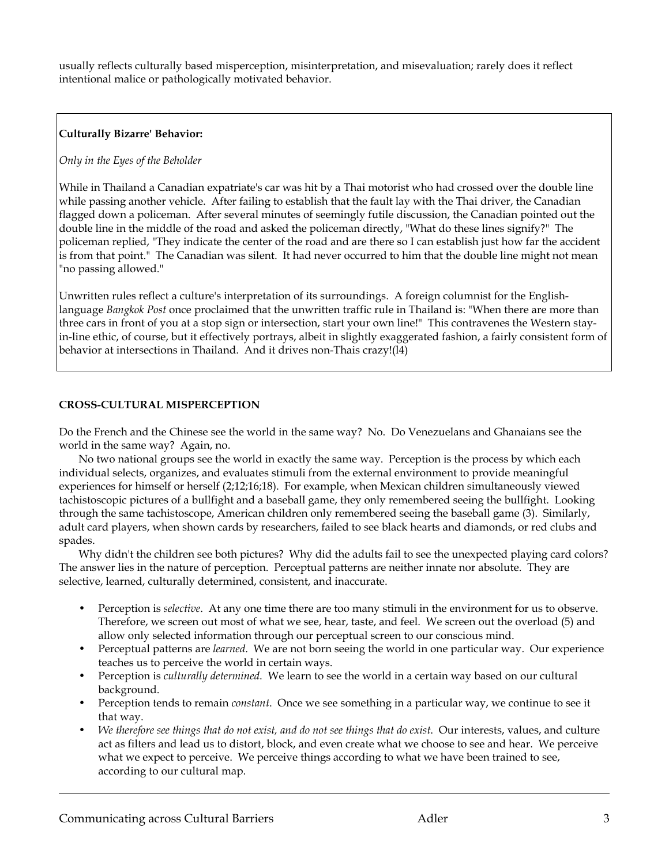usually reflects culturally based misperception, misinterpretation, and misevaluation; rarely does it reflect intentional malice or pathologically motivated behavior.

# **Culturally Bizarre' Behavior:**

#### *Only in the Eyes of the Beholder*

While in Thailand a Canadian expatriate's car was hit by a Thai motorist who had crossed over the double line while passing another vehicle. After failing to establish that the fault lay with the Thai driver, the Canadian flagged down a policeman. After several minutes of seemingly futile discussion, the Canadian pointed out the double line in the middle of the road and asked the policeman directly, "What do these lines signify?" The policeman replied, "They indicate the center of the road and are there so I can establish just how far the accident is from that point." The Canadian was silent. It had never occurred to him that the double line might not mean "no passing allowed."

Unwritten rules reflect a culture's interpretation of its surroundings. A foreign columnist for the Englishlanguage *Bangkok Post* once proclaimed that the unwritten traffic rule in Thailand is: "When there are more than three cars in front of you at a stop sign or intersection, start your own line!" This contravenes the Western stayin-line ethic, of course, but it effectively portrays, albeit in slightly exaggerated fashion, a fairly consistent form of behavior at intersections in Thailand. And it drives non-Thais crazy!(l4)

#### **CROSS-CULTURAL MISPERCEPTION**

Do the French and the Chinese see the world in the same way? No. Do Venezuelans and Ghanaians see the world in the same way? Again, no.

No two national groups see the world in exactly the same way. Perception is the process by which each individual selects, organizes, and evaluates stimuli from the external environment to provide meaningful experiences for himself or herself (2;12;16;18). For example, when Mexican children simultaneously viewed tachistoscopic pictures of a bullfight and a baseball game, they only remembered seeing the bullfight. Looking through the same tachistoscope, American children only remembered seeing the baseball game (3). Similarly, adult card players, when shown cards by researchers, failed to see black hearts and diamonds, or red clubs and spades.

Why didn't the children see both pictures? Why did the adults fail to see the unexpected playing card colors? The answer lies in the nature of perception. Perceptual patterns are neither innate nor absolute. They are selective, learned, culturally determined, consistent, and inaccurate.

- Perception is *selective*. At any one time there are too many stimuli in the environment for us to observe. Therefore, we screen out most of what we see, hear, taste, and feel. We screen out the overload (5) and allow only selected information through our perceptual screen to our conscious mind.
- Perceptual patterns are *learned*. We are not born seeing the world in one particular way. Our experience teaches us to perceive the world in certain ways.
- Perception is *culturally determined*. We learn to see the world in a certain way based on our cultural background.
- Perception tends to remain *constant*. Once we see something in a particular way, we continue to see it that way.
- *We therefore see things that do not exist, and do not see things that do exist.* Our interests, values, and culture act as filters and lead us to distort, block, and even create what we choose to see and hear. We perceive what we expect to perceive. We perceive things according to what we have been trained to see, according to our cultural map.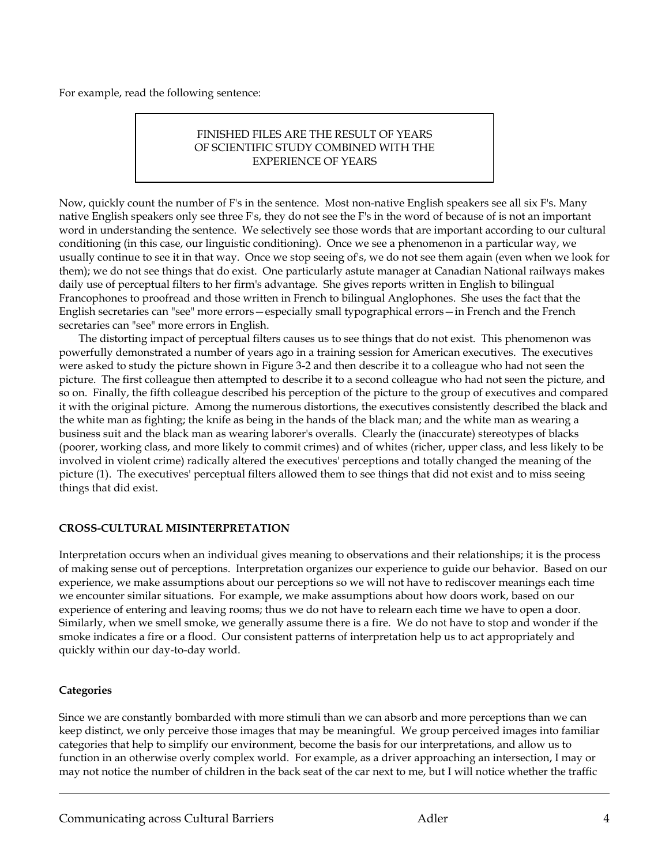For example, read the following sentence:

# FINISHED FILES ARE THE RESULT OF YEARS OF SCIENTIFIC STUDY COMBINED WITH THE EXPERIENCE OF YEARS

Now, quickly count the number of F's in the sentence. Most non-native English speakers see all six F's. Many native English speakers only see three F's, they do not see the F's in the word of because of is not an important word in understanding the sentence. We selectively see those words that are important according to our cultural conditioning (in this case, our linguistic conditioning). Once we see a phenomenon in a particular way, we usually continue to see it in that way. Once we stop seeing of's, we do not see them again (even when we look for them); we do not see things that do exist. One particularly astute manager at Canadian National railways makes daily use of perceptual filters to her firm's advantage. She gives reports written in English to bilingual Francophones to proofread and those written in French to bilingual Anglophones. She uses the fact that the English secretaries can "see" more errors—especially small typographical errors—in French and the French secretaries can "see" more errors in English.

The distorting impact of perceptual filters causes us to see things that do not exist. This phenomenon was powerfully demonstrated a number of years ago in a training session for American executives. The executives were asked to study the picture shown in Figure 3-2 and then describe it to a colleague who had not seen the picture. The first colleague then attempted to describe it to a second colleague who had not seen the picture, and so on. Finally, the fifth colleague described his perception of the picture to the group of executives and compared it with the original picture. Among the numerous distortions, the executives consistently described the black and the white man as fighting; the knife as being in the hands of the black man; and the white man as wearing a business suit and the black man as wearing laborer's overalls. Clearly the (inaccurate) stereotypes of blacks (poorer, working class, and more likely to commit crimes) and of whites (richer, upper class, and less likely to be involved in violent crime) radically altered the executives' perceptions and totally changed the meaning of the picture (1). The executives' perceptual filters allowed them to see things that did not exist and to miss seeing things that did exist.

# **CROSS-CULTURAL MISINTERPRETATION**

Interpretation occurs when an individual gives meaning to observations and their relationships; it is the process of making sense out of perceptions. Interpretation organizes our experience to guide our behavior. Based on our experience, we make assumptions about our perceptions so we will not have to rediscover meanings each time we encounter similar situations. For example, we make assumptions about how doors work, based on our experience of entering and leaving rooms; thus we do not have to relearn each time we have to open a door. Similarly, when we smell smoke, we generally assume there is a fire. We do not have to stop and wonder if the smoke indicates a fire or a flood. Our consistent patterns of interpretation help us to act appropriately and quickly within our day-to-day world.

# **Categories**

Since we are constantly bombarded with more stimuli than we can absorb and more perceptions than we can keep distinct, we only perceive those images that may be meaningful. We group perceived images into familiar categories that help to simplify our environment, become the basis for our interpretations, and allow us to function in an otherwise overly complex world. For example, as a driver approaching an intersection, I may or may not notice the number of children in the back seat of the car next to me, but I will notice whether the traffic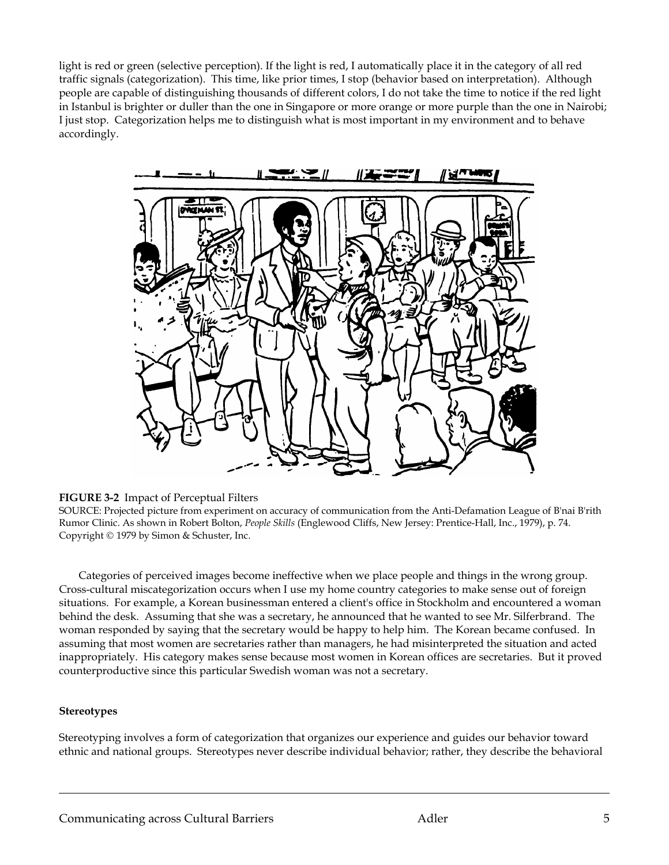light is red or green (selective perception). If the light is red, I automatically place it in the category of all red traffic signals (categorization). This time, like prior times, I stop (behavior based on interpretation). Although people are capable of distinguishing thousands of different colors, I do not take the time to notice if the red light in Istanbul is brighter or duller than the one in Singapore or more orange or more purple than the one in Nairobi; I just stop. Categorization helps me to distinguish what is most important in my environment and to behave accordingly.



# **FIGURE 3-2** Impact of Perceptual Filters

SOURCE: Projected picture from experiment on accuracy of communication from the Anti-Defamation League of B'nai B'rith Rumor Clinic. As shown in Robert Bolton, *People Skills* (Englewood Cliffs, New Jersey: Prentice-Hall, Inc., 1979), p. 74. Copyright © 1979 by Simon & Schuster, Inc.

Categories of perceived images become ineffective when we place people and things in the wrong group. Cross-cultural miscategorization occurs when I use my home country categories to make sense out of foreign situations. For example, a Korean businessman entered a client's office in Stockholm and encountered a woman behind the desk. Assuming that she was a secretary, he announced that he wanted to see Mr. Silferbrand. The woman responded by saying that the secretary would be happy to help him. The Korean became confused. In assuming that most women are secretaries rather than managers, he had misinterpreted the situation and acted inappropriately. His category makes sense because most women in Korean offices are secretaries. But it proved counterproductive since this particular Swedish woman was not a secretary.

#### **Stereotypes**

Stereotyping involves a form of categorization that organizes our experience and guides our behavior toward ethnic and national groups. Stereotypes never describe individual behavior; rather, they describe the behavioral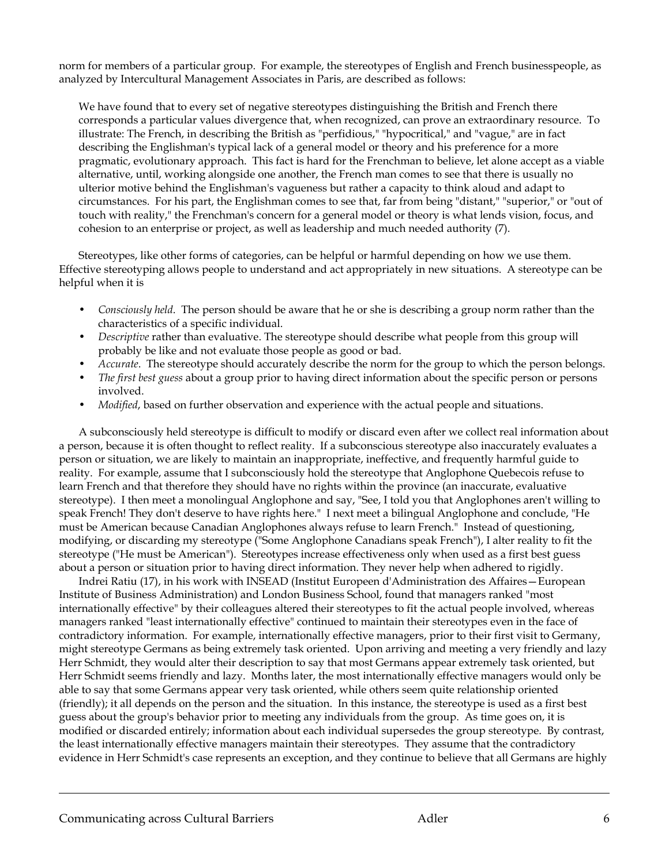norm for members of a particular group. For example, the stereotypes of English and French businesspeople, as analyzed by Intercultural Management Associates in Paris, are described as follows:

We have found that to every set of negative stereotypes distinguishing the British and French there corresponds a particular values divergence that, when recognized, can prove an extraordinary resource. To illustrate: The French, in describing the British as "perfidious," "hypocritical," and "vague," are in fact describing the Englishman's typical lack of a general model or theory and his preference for a more pragmatic, evolutionary approach. This fact is hard for the Frenchman to believe, let alone accept as a viable alternative, until, working alongside one another, the French man comes to see that there is usually no ulterior motive behind the Englishman's vagueness but rather a capacity to think aloud and adapt to circumstances. For his part, the Englishman comes to see that, far from being "distant," "superior," or "out of touch with reality," the Frenchman's concern for a general model or theory is what lends vision, focus, and cohesion to an enterprise or project, as well as leadership and much needed authority (7).

Stereotypes, like other forms of categories, can be helpful or harmful depending on how we use them. Effective stereotyping allows people to understand and act appropriately in new situations. A stereotype can be helpful when it is

- *Consciously held*. The person should be aware that he or she is describing a group norm rather than the characteristics of a specific individual.
- *Descriptive* rather than evaluative. The stereotype should describe what people from this group will probably be like and not evaluate those people as good or bad.
- *Accurate*. The stereotype should accurately describe the norm for the group to which the person belongs.
- *The first best guess* about a group prior to having direct information about the specific person or persons involved.
- *Modified*, based on further observation and experience with the actual people and situations.

A subconsciously held stereotype is difficult to modify or discard even after we collect real information about a person, because it is often thought to reflect reality. If a subconscious stereotype also inaccurately evaluates a person or situation, we are likely to maintain an inappropriate, ineffective, and frequently harmful guide to reality. For example, assume that I subconsciously hold the stereotype that Anglophone Quebecois refuse to learn French and that therefore they should have no rights within the province (an inaccurate, evaluative stereotype). I then meet a monolingual Anglophone and say, "See, I told you that Anglophones aren't willing to speak French! They don't deserve to have rights here." I next meet a bilingual Anglophone and conclude, "He must be American because Canadian Anglophones always refuse to learn French." Instead of questioning, modifying, or discarding my stereotype ("Some Anglophone Canadians speak French"), I alter reality to fit the stereotype ("He must be American"). Stereotypes increase effectiveness only when used as a first best guess about a person or situation prior to having direct information. They never help when adhered to rigidly.

Indrei Ratiu (17), in his work with INSEAD (Institut Europeen d'Administration des Affaires—European Institute of Business Administration) and London Business School, found that managers ranked "most internationally effective" by their colleagues altered their stereotypes to fit the actual people involved, whereas managers ranked "least internationally effective" continued to maintain their stereotypes even in the face of contradictory information. For example, internationally effective managers, prior to their first visit to Germany, might stereotype Germans as being extremely task oriented. Upon arriving and meeting a very friendly and lazy Herr Schmidt, they would alter their description to say that most Germans appear extremely task oriented, but Herr Schmidt seems friendly and lazy. Months later, the most internationally effective managers would only be able to say that some Germans appear very task oriented, while others seem quite relationship oriented (friendly); it all depends on the person and the situation. In this instance, the stereotype is used as a first best guess about the group's behavior prior to meeting any individuals from the group. As time goes on, it is modified or discarded entirely; information about each individual supersedes the group stereotype. By contrast, the least internationally effective managers maintain their stereotypes. They assume that the contradictory evidence in Herr Schmidt's case represents an exception, and they continue to believe that all Germans are highly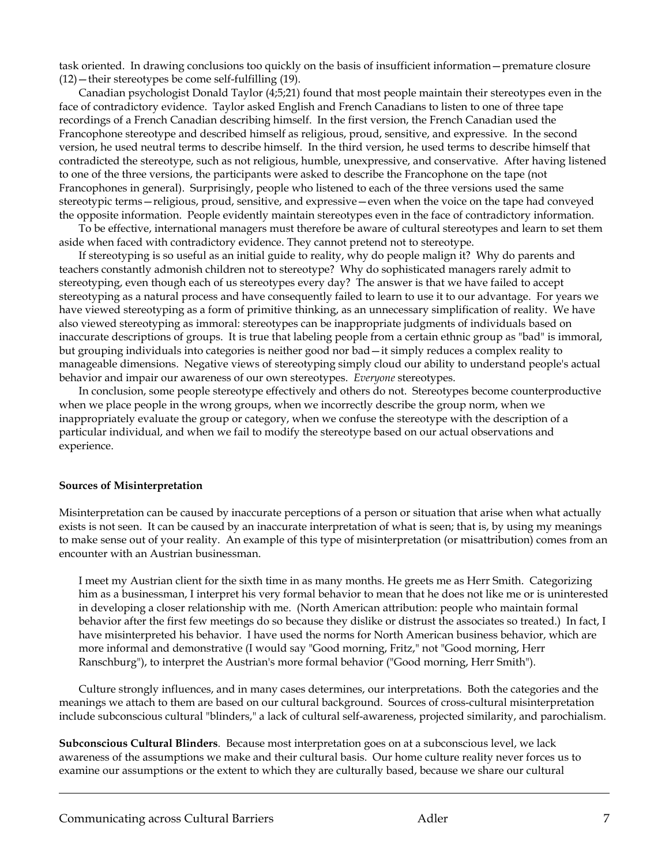task oriented. In drawing conclusions too quickly on the basis of insufficient information—premature closure (12)—their stereotypes be come self-fulfilling (19).

Canadian psychologist Donald Taylor (4;5;21) found that most people maintain their stereotypes even in the face of contradictory evidence. Taylor asked English and French Canadians to listen to one of three tape recordings of a French Canadian describing himself. In the first version, the French Canadian used the Francophone stereotype and described himself as religious, proud, sensitive, and expressive. In the second version, he used neutral terms to describe himself. In the third version, he used terms to describe himself that contradicted the stereotype, such as not religious, humble, unexpressive, and conservative. After having listened to one of the three versions, the participants were asked to describe the Francophone on the tape (not Francophones in general). Surprisingly, people who listened to each of the three versions used the same stereotypic terms—religious, proud, sensitive, and expressive—even when the voice on the tape had conveyed the opposite information. People evidently maintain stereotypes even in the face of contradictory information.

To be effective, international managers must therefore be aware of cultural stereotypes and learn to set them aside when faced with contradictory evidence. They cannot pretend not to stereotype.

If stereotyping is so useful as an initial guide to reality, why do people malign it? Why do parents and teachers constantly admonish children not to stereotype? Why do sophisticated managers rarely admit to stereotyping, even though each of us stereotypes every day? The answer is that we have failed to accept stereotyping as a natural process and have consequently failed to learn to use it to our advantage. For years we have viewed stereotyping as a form of primitive thinking, as an unnecessary simplification of reality. We have also viewed stereotyping as immoral: stereotypes can be inappropriate judgments of individuals based on inaccurate descriptions of groups. It is true that labeling people from a certain ethnic group as "bad" is immoral, but grouping individuals into categories is neither good nor bad—it simply reduces a complex reality to manageable dimensions. Negative views of stereotyping simply cloud our ability to understand people's actual behavior and impair our awareness of our own stereotypes. *Everyone* stereotypes.

In conclusion, some people stereotype effectively and others do not. Stereotypes become counterproductive when we place people in the wrong groups, when we incorrectly describe the group norm, when we inappropriately evaluate the group or category, when we confuse the stereotype with the description of a particular individual, and when we fail to modify the stereotype based on our actual observations and experience.

#### **Sources of Misinterpretation**

Misinterpretation can be caused by inaccurate perceptions of a person or situation that arise when what actually exists is not seen. It can be caused by an inaccurate interpretation of what is seen; that is, by using my meanings to make sense out of your reality. An example of this type of misinterpretation (or misattribution) comes from an encounter with an Austrian businessman.

I meet my Austrian client for the sixth time in as many months. He greets me as Herr Smith. Categorizing him as a businessman, I interpret his very formal behavior to mean that he does not like me or is uninterested in developing a closer relationship with me. (North American attribution: people who maintain formal behavior after the first few meetings do so because they dislike or distrust the associates so treated.) In fact, I have misinterpreted his behavior. I have used the norms for North American business behavior, which are more informal and demonstrative (I would say "Good morning, Fritz," not "Good morning, Herr Ranschburg"), to interpret the Austrian's more formal behavior ("Good morning, Herr Smith").

Culture strongly influences, and in many cases determines, our interpretations. Both the categories and the meanings we attach to them are based on our cultural background. Sources of cross-cultural misinterpretation include subconscious cultural "blinders," a lack of cultural self-awareness, projected similarity, and parochialism.

**Subconscious Cultural Blinders**. Because most interpretation goes on at a subconscious level, we lack awareness of the assumptions we make and their cultural basis. Our home culture reality never forces us to examine our assumptions or the extent to which they are culturally based, because we share our cultural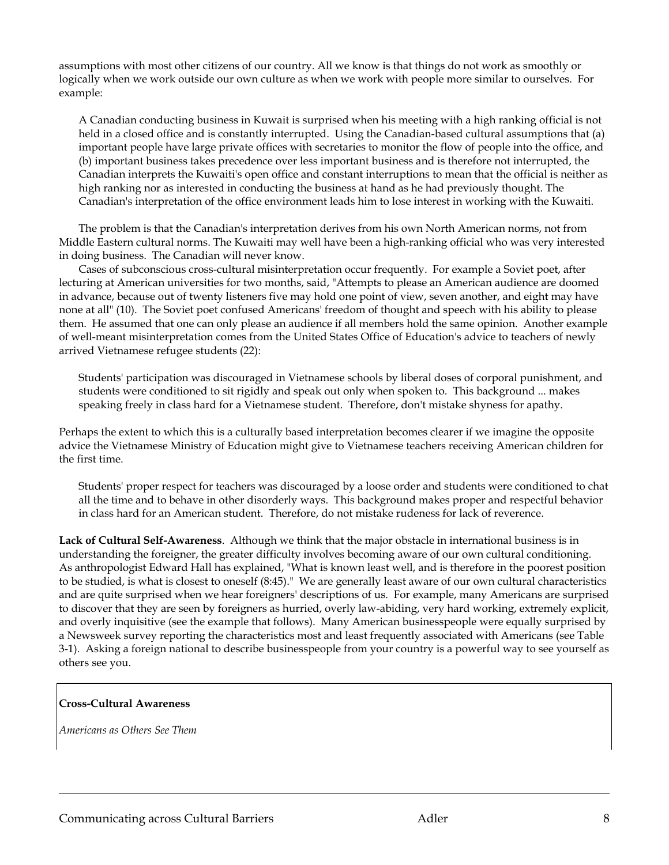assumptions with most other citizens of our country. All we know is that things do not work as smoothly or logically when we work outside our own culture as when we work with people more similar to ourselves. For example:

A Canadian conducting business in Kuwait is surprised when his meeting with a high ranking official is not held in a closed office and is constantly interrupted. Using the Canadian-based cultural assumptions that (a) important people have large private offices with secretaries to monitor the flow of people into the office, and (b) important business takes precedence over less important business and is therefore not interrupted, the Canadian interprets the Kuwaiti's open office and constant interruptions to mean that the official is neither as high ranking nor as interested in conducting the business at hand as he had previously thought. The Canadian's interpretation of the office environment leads him to lose interest in working with the Kuwaiti.

The problem is that the Canadian's interpretation derives from his own North American norms, not from Middle Eastern cultural norms. The Kuwaiti may well have been a high-ranking official who was very interested in doing business. The Canadian will never know.

Cases of subconscious cross-cultural misinterpretation occur frequently. For example a Soviet poet, after lecturing at American universities for two months, said, "Attempts to please an American audience are doomed in advance, because out of twenty listeners five may hold one point of view, seven another, and eight may have none at all" (10). The Soviet poet confused Americans' freedom of thought and speech with his ability to please them. He assumed that one can only please an audience if all members hold the same opinion. Another example of well-meant misinterpretation comes from the United States Office of Education's advice to teachers of newly arrived Vietnamese refugee students (22):

Students' participation was discouraged in Vietnamese schools by liberal doses of corporal punishment, and students were conditioned to sit rigidly and speak out only when spoken to. This background ... makes speaking freely in class hard for a Vietnamese student. Therefore, don't mistake shyness for apathy.

Perhaps the extent to which this is a culturally based interpretation becomes clearer if we imagine the opposite advice the Vietnamese Ministry of Education might give to Vietnamese teachers receiving American children for the first time.

Students' proper respect for teachers was discouraged by a loose order and students were conditioned to chat all the time and to behave in other disorderly ways. This background makes proper and respectful behavior in class hard for an American student. Therefore, do not mistake rudeness for lack of reverence.

**Lack of Cultural Self-Awareness**. Although we think that the major obstacle in international business is in understanding the foreigner, the greater difficulty involves becoming aware of our own cultural conditioning. As anthropologist Edward Hall has explained, "What is known least well, and is therefore in the poorest position to be studied, is what is closest to oneself (8:45)." We are generally least aware of our own cultural characteristics and are quite surprised when we hear foreigners' descriptions of us. For example, many Americans are surprised to discover that they are seen by foreigners as hurried, overly law-abiding, very hard working, extremely explicit, and overly inquisitive (see the example that follows). Many American businesspeople were equally surprised by a Newsweek survey reporting the characteristics most and least frequently associated with Americans (see Table 3-1). Asking a foreign national to describe businesspeople from your country is a powerful way to see yourself as others see you.

# **Cross-Cultural Awareness**

*Americans as Others See Them*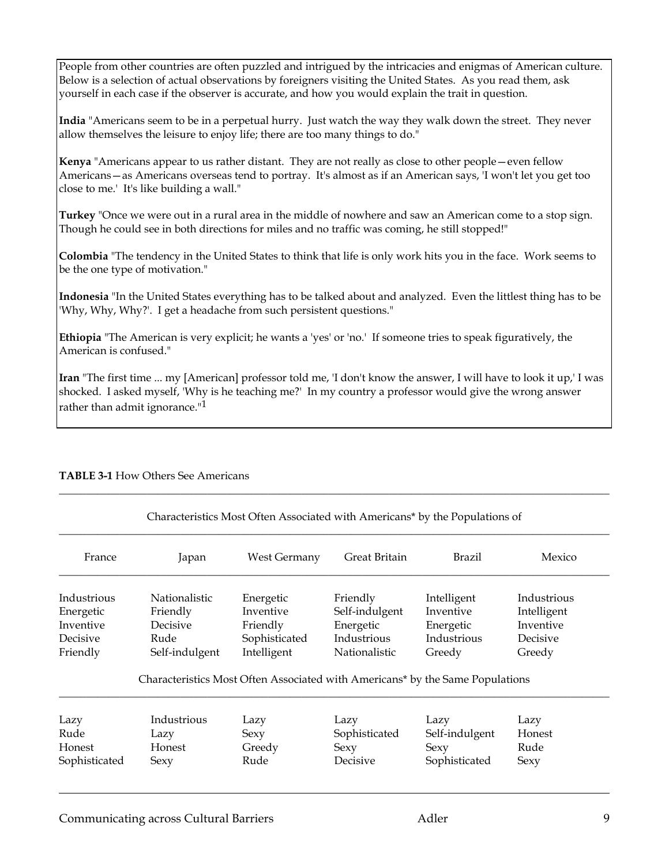People from other countries are often puzzled and intrigued by the intricacies and enigmas of American culture. Below is a selection of actual observations by foreigners visiting the United States. As you read them, ask yourself in each case if the observer is accurate, and how you would explain the trait in question.

**India** "Americans seem to be in a perpetual hurry. Just watch the way they walk down the street. They never allow themselves the leisure to enjoy life; there are too many things to do."

**Kenya** "Americans appear to us rather distant. They are not really as close to other people—even fellow Americans—as Americans overseas tend to portray. It's almost as if an American says, 'I won't let you get too close to me.' It's like building a wall."

**Turkey** "Once we were out in a rural area in the middle of nowhere and saw an American come to a stop sign. Though he could see in both directions for miles and no traffic was coming, he still stopped!"

**Colombia** "The tendency in the United States to think that life is only work hits you in the face. Work seems to be the one type of motivation."

**Indonesia** "In the United States everything has to be talked about and analyzed. Even the littlest thing has to be 'Why, Why, Why?'. I get a headache from such persistent questions."

**Ethiopia** "The American is very explicit; he wants a 'yes' or 'no.' If someone tries to speak figuratively, the American is confused."

**Iran** "The first time ... my [American] professor told me, 'I don't know the answer, I will have to look it up,' I was shocked. I asked myself, 'Why is he teaching me?' In my country a professor would give the wrong answer rather than admit ignorance." $^1$ 

 $\mathcal{L}_\mathcal{L} = \{ \mathcal{L}_\mathcal{L} = \{ \mathcal{L}_\mathcal{L} = \{ \mathcal{L}_\mathcal{L} = \{ \mathcal{L}_\mathcal{L} = \{ \mathcal{L}_\mathcal{L} = \{ \mathcal{L}_\mathcal{L} = \{ \mathcal{L}_\mathcal{L} = \{ \mathcal{L}_\mathcal{L} = \{ \mathcal{L}_\mathcal{L} = \{ \mathcal{L}_\mathcal{L} = \{ \mathcal{L}_\mathcal{L} = \{ \mathcal{L}_\mathcal{L} = \{ \mathcal{L}_\mathcal{L} = \{ \mathcal{L}_\mathcal{$ 

Characteristics Most Often Associated with Americans\* by the Populations of

| France                  | Japan                | West Germany                                                                  | Great Britain    | Brazil                | Mexico       |
|-------------------------|----------------------|-------------------------------------------------------------------------------|------------------|-----------------------|--------------|
| Industrious             | <b>Nationalistic</b> | Energetic                                                                     | Friendly         | Intelligent           | Industrious  |
| Energetic               | Friendly             | Inventive                                                                     | Self-indulgent   | Inventive             | Intelligent  |
| Inventive               | Decisive             | Friendly                                                                      | Energetic        | Energetic             | Inventive    |
| Decisive                | Rude                 | Sophisticated                                                                 | Industrious      | Industrious           | Decisive     |
| Friendly                | Self-indulgent       | Intelligent                                                                   | Nationalistic    | Greedy                | Greedy       |
|                         |                      |                                                                               |                  |                       |              |
|                         |                      | Characteristics Most Often Associated with Americans* by the Same Populations |                  |                       |              |
| Lazy                    | Industrious          | Lazy                                                                          | Lazy             | Lazy                  | Lazy         |
| Rude                    | Lazy                 | Sexy                                                                          | Sophisticated    | Self-indulgent        | Honest       |
| Honest<br>Sophisticated | Honest<br>Sexy       | Greedy<br>Rude                                                                | Sexy<br>Decisive | Sexy<br>Sophisticated | Rude<br>Sexy |

# **TABLE 3-1** How Others See Americans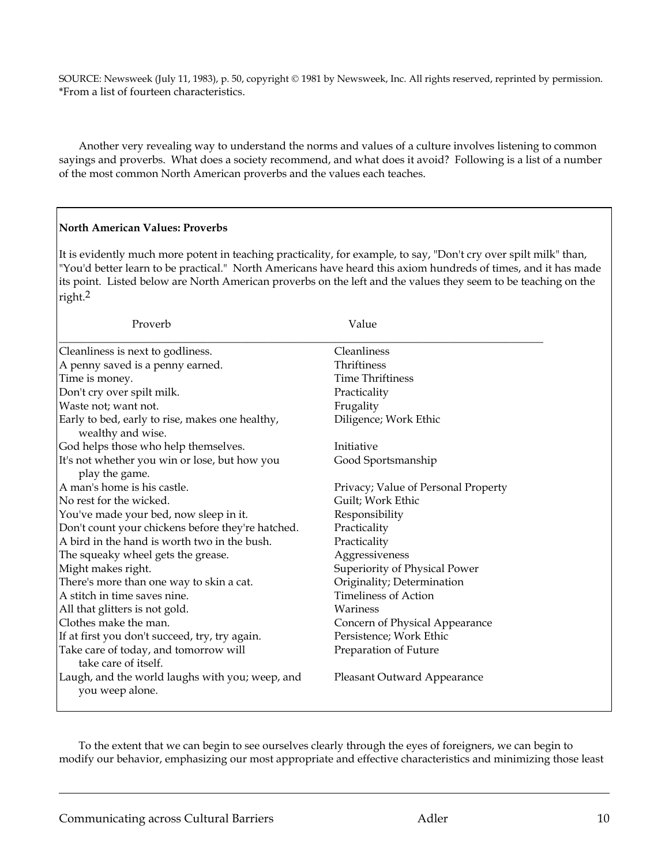SOURCE: Newsweek (July 11, 1983), p. 50, copyright © 1981 by Newsweek, Inc. All rights reserved, reprinted by permission. \*From a list of fourteen characteristics.

Another very revealing way to understand the norms and values of a culture involves listening to common sayings and proverbs. What does a society recommend, and what does it avoid? Following is a list of a number of the most common North American proverbs and the values each teaches.

# **North American Values: Proverbs**

It is evidently much more potent in teaching practicality, for example, to say, "Don't cry over spilt milk" than, "You'd better learn to be practical." North Americans have heard this axiom hundreds of times, and it has made its point. Listed below are North American proverbs on the left and the values they seem to be teaching on the right.2

| Proverb                                                              | Value                               |
|----------------------------------------------------------------------|-------------------------------------|
| Cleanliness is next to godliness.                                    | Cleanliness                         |
| A penny saved is a penny earned.                                     | Thriftiness                         |
| Time is money.                                                       | <b>Time Thriftiness</b>             |
| Don't cry over spilt milk.                                           | Practicality                        |
| Waste not; want not.                                                 | Frugality                           |
| Early to bed, early to rise, makes one healthy,<br>wealthy and wise. | Diligence; Work Ethic               |
| God helps those who help themselves.                                 | Initiative                          |
| It's not whether you win or lose, but how you<br>play the game.      | Good Sportsmanship                  |
| A man's home is his castle.                                          | Privacy; Value of Personal Property |
| No rest for the wicked.                                              | Guilt; Work Ethic                   |
| You've made your bed, now sleep in it.                               | Responsibility                      |
| Don't count your chickens before they're hatched.                    | Practicality                        |
| A bird in the hand is worth two in the bush.                         | Practicality                        |
| The squeaky wheel gets the grease.                                   | Aggressiveness                      |
| Might makes right.                                                   | Superiority of Physical Power       |
| There's more than one way to skin a cat.                             | Originality; Determination          |
| A stitch in time saves nine.                                         | <b>Timeliness of Action</b>         |
| All that glitters is not gold.                                       | Wariness                            |
| Clothes make the man.                                                | Concern of Physical Appearance      |
| If at first you don't succeed, try, try again.                       | Persistence; Work Ethic             |
| Take care of today, and tomorrow will<br>take care of itself.        | Preparation of Future               |
| Laugh, and the world laughs with you; weep, and<br>you weep alone.   | Pleasant Outward Appearance         |

To the extent that we can begin to see ourselves clearly through the eyes of foreigners, we can begin to modify our behavior, emphasizing our most appropriate and effective characteristics and minimizing those least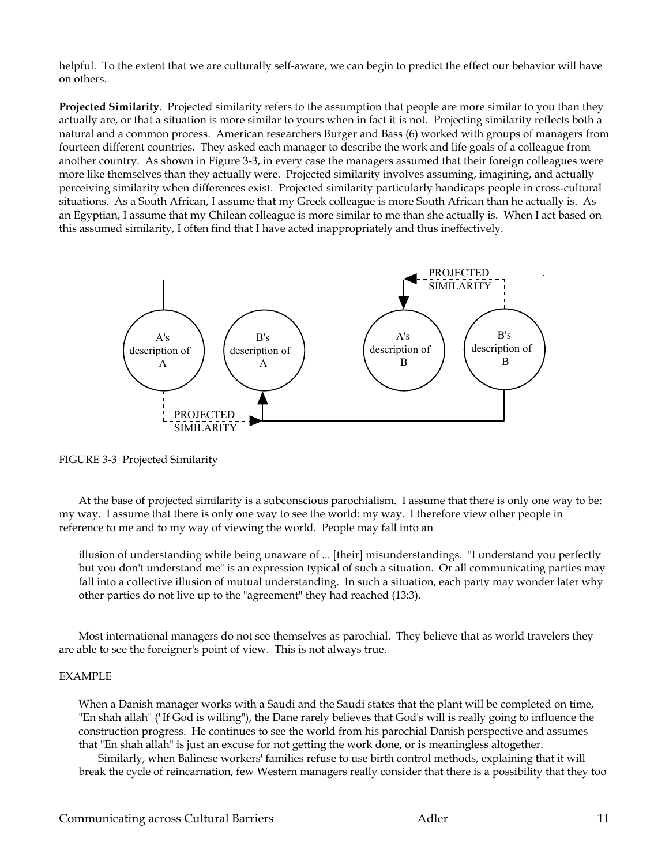helpful. To the extent that we are culturally self-aware, we can begin to predict the effect our behavior will have on others.

**Projected Similarity**. Projected similarity refers to the assumption that people are more similar to you than they actually are, or that a situation is more similar to yours when in fact it is not. Projecting similarity reflects both a natural and a common process. American researchers Burger and Bass (6) worked with groups of managers from fourteen different countries. They asked each manager to describe the work and life goals of a colleague from another country. As shown in Figure 3-3, in every case the managers assumed that their foreign colleagues were more like themselves than they actually were. Projected similarity involves assuming, imagining, and actually perceiving similarity when differences exist. Projected similarity particularly handicaps people in cross-cultural situations. As a South African, I assume that my Greek colleague is more South African than he actually is. As an Egyptian, I assume that my Chilean colleague is more similar to me than she actually is. When I act based on this assumed similarity, I often find that I have acted inappropriately and thus ineffectively.



FIGURE 3-3 Projected Similarity

At the base of projected similarity is a subconscious parochialism. I assume that there is only one way to be: my way. I assume that there is only one way to see the world: my way. I therefore view other people in reference to me and to my way of viewing the world. People may fall into an

illusion of understanding while being unaware of ... [their] misunderstandings. "I understand you perfectly but you don't understand me" is an expression typical of such a situation. Or all communicating parties may fall into a collective illusion of mutual understanding. In such a situation, each party may wonder later why other parties do not live up to the "agreement" they had reached (13:3).

Most international managers do not see themselves as parochial. They believe that as world travelers they are able to see the foreigner's point of view. This is not always true.

# EXAMPLE

When a Danish manager works with a Saudi and the Saudi states that the plant will be completed on time, "En shah allah" ("If God is willing"), the Dane rarely believes that God's will is really going to influence the construction progress. He continues to see the world from his parochial Danish perspective and assumes that "En shah allah" is just an excuse for not getting the work done, or is meaningless altogether.

Similarly, when Balinese workers' families refuse to use birth control methods, explaining that it will break the cycle of reincarnation, few Western managers really consider that there is a possibility that they too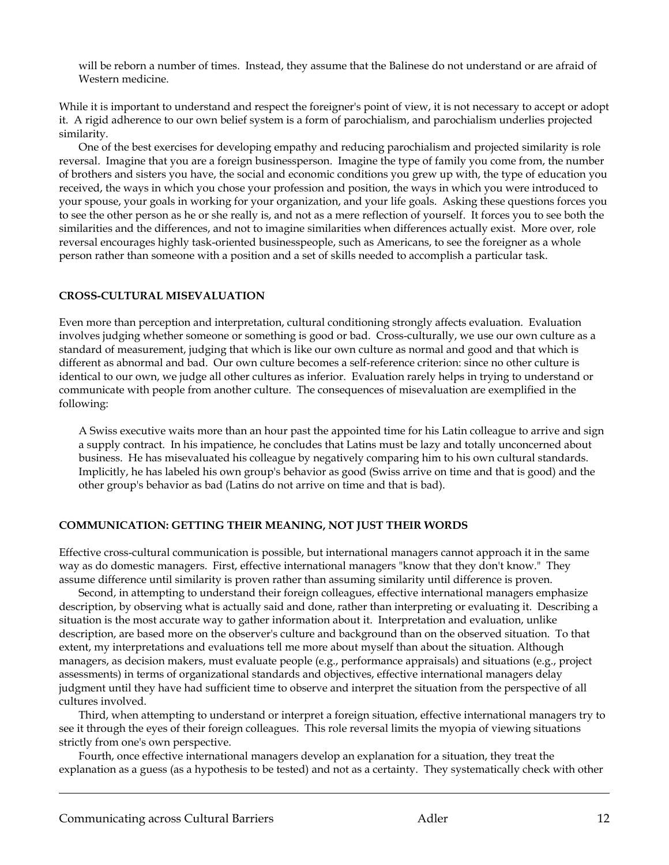will be reborn a number of times. Instead, they assume that the Balinese do not understand or are afraid of Western medicine.

While it is important to understand and respect the foreigner's point of view, it is not necessary to accept or adopt it. A rigid adherence to our own belief system is a form of parochialism, and parochialism underlies projected similarity.

One of the best exercises for developing empathy and reducing parochialism and projected similarity is role reversal. Imagine that you are a foreign businessperson. Imagine the type of family you come from, the number of brothers and sisters you have, the social and economic conditions you grew up with, the type of education you received, the ways in which you chose your profession and position, the ways in which you were introduced to your spouse, your goals in working for your organization, and your life goals. Asking these questions forces you to see the other person as he or she really is, and not as a mere reflection of yourself. It forces you to see both the similarities and the differences, and not to imagine similarities when differences actually exist. More over, role reversal encourages highly task-oriented businesspeople, such as Americans, to see the foreigner as a whole person rather than someone with a position and a set of skills needed to accomplish a particular task.

#### **CROSS-CULTURAL MISEVALUATION**

Even more than perception and interpretation, cultural conditioning strongly affects evaluation. Evaluation involves judging whether someone or something is good or bad. Cross-culturally, we use our own culture as a standard of measurement, judging that which is like our own culture as normal and good and that which is different as abnormal and bad. Our own culture becomes a self-reference criterion: since no other culture is identical to our own, we judge all other cultures as inferior. Evaluation rarely helps in trying to understand or communicate with people from another culture. The consequences of misevaluation are exemplified in the following:

A Swiss executive waits more than an hour past the appointed time for his Latin colleague to arrive and sign a supply contract. In his impatience, he concludes that Latins must be lazy and totally unconcerned about business. He has misevaluated his colleague by negatively comparing him to his own cultural standards. Implicitly, he has labeled his own group's behavior as good (Swiss arrive on time and that is good) and the other group's behavior as bad (Latins do not arrive on time and that is bad).

# **COMMUNICATION: GETTING THEIR MEANING, NOT JUST THEIR WORDS**

Effective cross-cultural communication is possible, but international managers cannot approach it in the same way as do domestic managers. First, effective international managers "know that they don't know." They assume difference until similarity is proven rather than assuming similarity until difference is proven.

Second, in attempting to understand their foreign colleagues, effective international managers emphasize description, by observing what is actually said and done, rather than interpreting or evaluating it. Describing a situation is the most accurate way to gather information about it. Interpretation and evaluation, unlike description, are based more on the observer's culture and background than on the observed situation. To that extent, my interpretations and evaluations tell me more about myself than about the situation. Although managers, as decision makers, must evaluate people (e.g., performance appraisals) and situations (e.g., project assessments) in terms of organizational standards and objectives, effective international managers delay judgment until they have had sufficient time to observe and interpret the situation from the perspective of all cultures involved.

Third, when attempting to understand or interpret a foreign situation, effective international managers try to see it through the eyes of their foreign colleagues. This role reversal limits the myopia of viewing situations strictly from one's own perspective.

Fourth, once effective international managers develop an explanation for a situation, they treat the explanation as a guess (as a hypothesis to be tested) and not as a certainty. They systematically check with other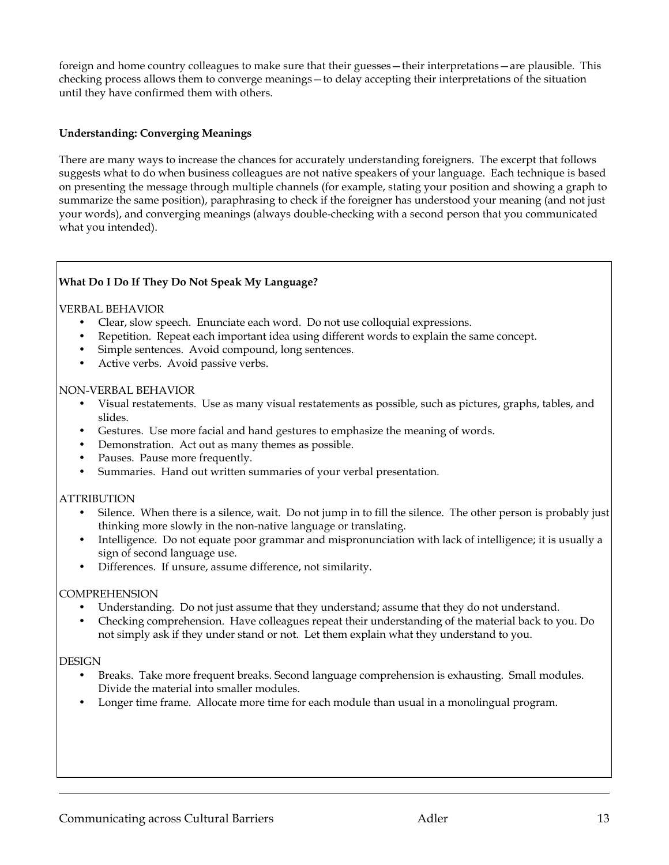foreign and home country colleagues to make sure that their guesses—their interpretations—are plausible. This checking process allows them to converge meanings—to delay accepting their interpretations of the situation until they have confirmed them with others.

# **Understanding: Converging Meanings**

There are many ways to increase the chances for accurately understanding foreigners. The excerpt that follows suggests what to do when business colleagues are not native speakers of your language. Each technique is based on presenting the message through multiple channels (for example, stating your position and showing a graph to summarize the same position), paraphrasing to check if the foreigner has understood your meaning (and not just your words), and converging meanings (always double-checking with a second person that you communicated what you intended).

# **What Do I Do If They Do Not Speak My Language?**

#### VERBAL BEHAVIOR

- Clear, slow speech. Enunciate each word. Do not use colloquial expressions.
- Repetition. Repeat each important idea using different words to explain the same concept.
- Simple sentences. Avoid compound, long sentences.
- Active verbs. Avoid passive verbs.

#### NON-VERBAL BEHAVIOR

- Visual restatements. Use as many visual restatements as possible, such as pictures, graphs, tables, and slides.
- Gestures. Use more facial and hand gestures to emphasize the meaning of words.
- Demonstration. Act out as many themes as possible.
- Pauses. Pause more frequently.
- Summaries. Hand out written summaries of your verbal presentation.

# **ATTRIBUTION**

- Silence. When there is a silence, wait. Do not jump in to fill the silence. The other person is probably just thinking more slowly in the non-native language or translating.
- Intelligence. Do not equate poor grammar and mispronunciation with lack of intelligence; it is usually a sign of second language use.
- Differences. If unsure, assume difference, not similarity.

# **COMPREHENSION**

- Understanding. Do not just assume that they understand; assume that they do not understand.
- Checking comprehension. Have colleagues repeat their understanding of the material back to you. Do not simply ask if they under stand or not. Let them explain what they understand to you.

# **DESIGN**

- Breaks. Take more frequent breaks. Second language comprehension is exhausting. Small modules. Divide the material into smaller modules.
- Longer time frame. Allocate more time for each module than usual in a monolingual program.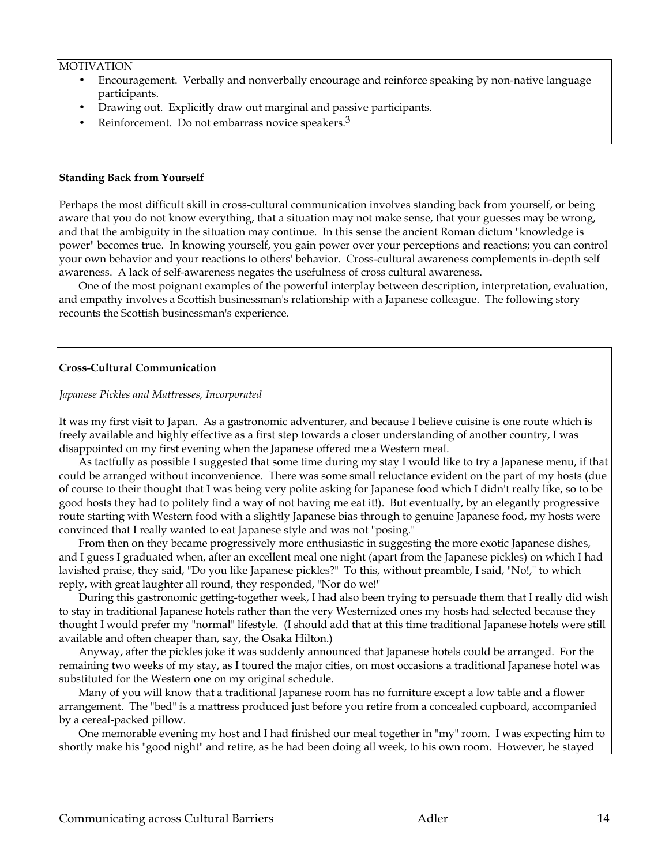#### MOTIVATION

- Encouragement. Verbally and nonverbally encourage and reinforce speaking by non-native language participants.
- Drawing out. Explicitly draw out marginal and passive participants.
- Reinforcement. Do not embarrass novice speakers. $3$

# **Standing Back from Yourself**

Perhaps the most difficult skill in cross-cultural communication involves standing back from yourself, or being aware that you do not know everything, that a situation may not make sense, that your guesses may be wrong, and that the ambiguity in the situation may continue. In this sense the ancient Roman dictum "knowledge is power" becomes true. In knowing yourself, you gain power over your perceptions and reactions; you can control your own behavior and your reactions to others' behavior. Cross-cultural awareness complements in-depth self awareness. A lack of self-awareness negates the usefulness of cross cultural awareness.

One of the most poignant examples of the powerful interplay between description, interpretation, evaluation, and empathy involves a Scottish businessman's relationship with a Japanese colleague. The following story recounts the Scottish businessman's experience.

# **Cross-Cultural Communication**

#### *Japanese Pickles and Mattresses, Incorporated*

It was my first visit to Japan. As a gastronomic adventurer, and because I believe cuisine is one route which is freely available and highly effective as a first step towards a closer understanding of another country, I was disappointed on my first evening when the Japanese offered me a Western meal.

As tactfully as possible I suggested that some time during my stay I would like to try a Japanese menu, if that could be arranged without inconvenience. There was some small reluctance evident on the part of my hosts (due of course to their thought that I was being very polite asking for Japanese food which I didn't really like, so to be good hosts they had to politely find a way of not having me eat it!). But eventually, by an elegantly progressive route starting with Western food with a slightly Japanese bias through to genuine Japanese food, my hosts were convinced that I really wanted to eat Japanese style and was not "posing."

From then on they became progressively more enthusiastic in suggesting the more exotic Japanese dishes, and I guess I graduated when, after an excellent meal one night (apart from the Japanese pickles) on which I had lavished praise, they said, "Do you like Japanese pickles?" To this, without preamble, I said, "No!," to which reply, with great laughter all round, they responded, "Nor do we!"

During this gastronomic getting-together week, I had also been trying to persuade them that I really did wish to stay in traditional Japanese hotels rather than the very Westernized ones my hosts had selected because they thought I would prefer my "normal" lifestyle. (I should add that at this time traditional Japanese hotels were still available and often cheaper than, say, the Osaka Hilton.)

Anyway, after the pickles joke it was suddenly announced that Japanese hotels could be arranged. For the remaining two weeks of my stay, as I toured the major cities, on most occasions a traditional Japanese hotel was substituted for the Western one on my original schedule.

Many of you will know that a traditional Japanese room has no furniture except a low table and a flower arrangement. The "bed" is a mattress produced just before you retire from a concealed cupboard, accompanied by a cereal-packed pillow.

One memorable evening my host and I had finished our meal together in "my" room. I was expecting him to shortly make his "good night" and retire, as he had been doing all week, to his own room. However, he stayed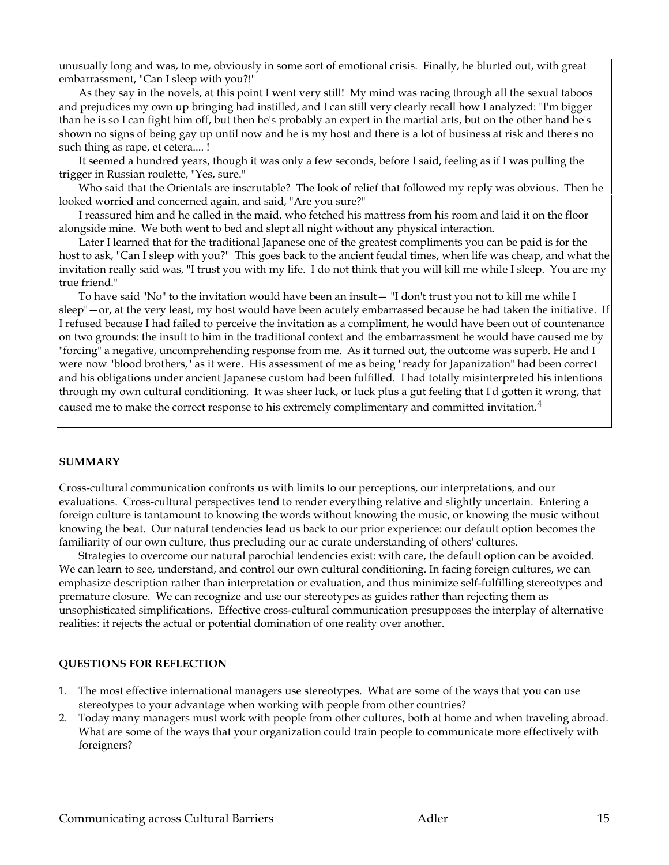unusually long and was, to me, obviously in some sort of emotional crisis. Finally, he blurted out, with great embarrassment, "Can I sleep with you?!"

As they say in the novels, at this point I went very still! My mind was racing through all the sexual taboos and prejudices my own up bringing had instilled, and I can still very clearly recall how I analyzed: "I'm bigger than he is so I can fight him off, but then he's probably an expert in the martial arts, but on the other hand he's shown no signs of being gay up until now and he is my host and there is a lot of business at risk and there's no such thing as rape, et cetera.... !

It seemed a hundred years, though it was only a few seconds, before I said, feeling as if I was pulling the trigger in Russian roulette, "Yes, sure."

Who said that the Orientals are inscrutable? The look of relief that followed my reply was obvious. Then he looked worried and concerned again, and said, "Are you sure?"

I reassured him and he called in the maid, who fetched his mattress from his room and laid it on the floor alongside mine. We both went to bed and slept all night without any physical interaction.

Later I learned that for the traditional Japanese one of the greatest compliments you can be paid is for the host to ask, "Can I sleep with you?" This goes back to the ancient feudal times, when life was cheap, and what the invitation really said was, "I trust you with my life. I do not think that you will kill me while I sleep. You are my true friend."

To have said "No" to the invitation would have been an insult— "I don't trust you not to kill me while I sleep" – or, at the very least, my host would have been acutely embarrassed because he had taken the initiative. If I refused because I had failed to perceive the invitation as a compliment, he would have been out of countenance on two grounds: the insult to him in the traditional context and the embarrassment he would have caused me by "forcing" a negative, uncomprehending response from me. As it turned out, the outcome was superb. He and I were now "blood brothers," as it were. His assessment of me as being "ready for Japanization" had been correct and his obligations under ancient Japanese custom had been fulfilled. I had totally misinterpreted his intentions through my own cultural conditioning. It was sheer luck, or luck plus a gut feeling that I'd gotten it wrong, that caused me to make the correct response to his extremely complimentary and committed invitation. $4$ 

#### **SUMMARY**

Cross-cultural communication confronts us with limits to our perceptions, our interpretations, and our evaluations. Cross-cultural perspectives tend to render everything relative and slightly uncertain. Entering a foreign culture is tantamount to knowing the words without knowing the music, or knowing the music without knowing the beat. Our natural tendencies lead us back to our prior experience: our default option becomes the familiarity of our own culture, thus precluding our ac curate understanding of others' cultures.

Strategies to overcome our natural parochial tendencies exist: with care, the default option can be avoided. We can learn to see, understand, and control our own cultural conditioning. In facing foreign cultures, we can emphasize description rather than interpretation or evaluation, and thus minimize self-fulfilling stereotypes and premature closure. We can recognize and use our stereotypes as guides rather than rejecting them as unsophisticated simplifications. Effective cross-cultural communication presupposes the interplay of alternative realities: it rejects the actual or potential domination of one reality over another.

#### **QUESTIONS FOR REFLECTION**

- 1. The most effective international managers use stereotypes. What are some of the ways that you can use stereotypes to your advantage when working with people from other countries?
- 2. Today many managers must work with people from other cultures, both at home and when traveling abroad. What are some of the ways that your organization could train people to communicate more effectively with foreigners?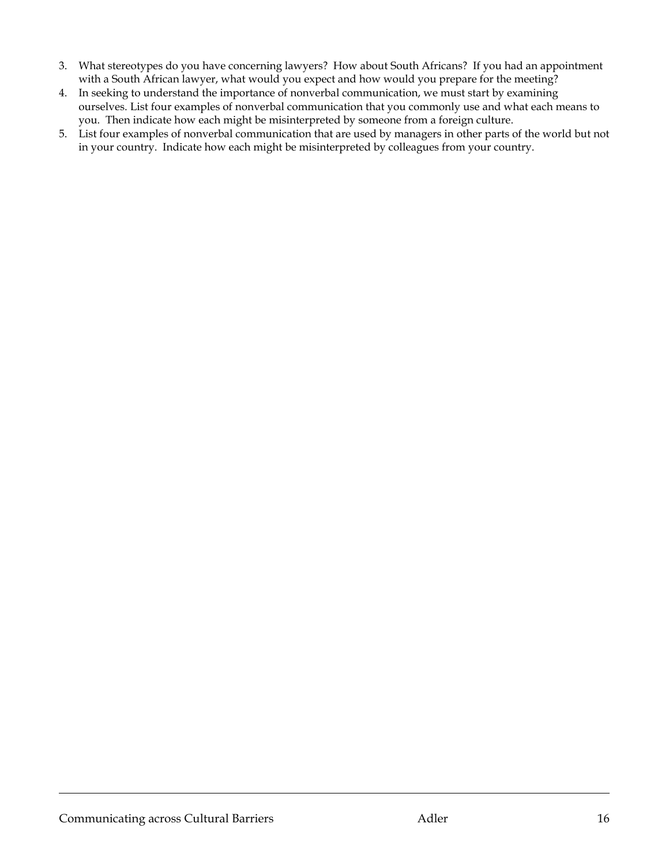- 3. What stereotypes do you have concerning lawyers? How about South Africans? If you had an appointment with a South African lawyer, what would you expect and how would you prepare for the meeting?
- 4. In seeking to understand the importance of nonverbal communication, we must start by examining ourselves. List four examples of nonverbal communication that you commonly use and what each means to you. Then indicate how each might be misinterpreted by someone from a foreign culture.
- 5. List four examples of nonverbal communication that are used by managers in other parts of the world but not in your country. Indicate how each might be misinterpreted by colleagues from your country.